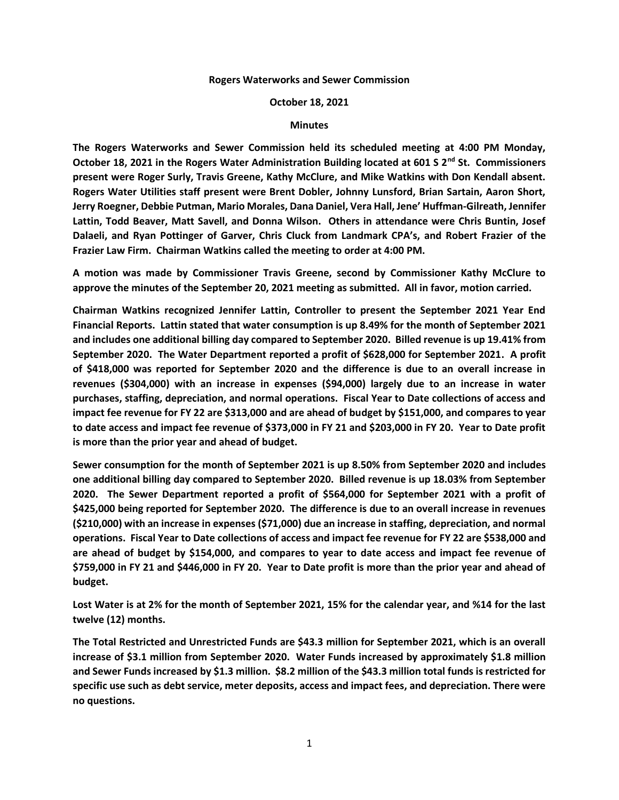## **Rogers Waterworks and Sewer Commission**

## **October 18, 2021**

## **Minutes**

**The Rogers Waterworks and Sewer Commission held its scheduled meeting at 4:00 PM Monday, October 18, 2021 in the Rogers Water Administration Building located at 601 S 2nd St. Commissioners present were Roger Surly, Travis Greene, Kathy McClure, and Mike Watkins with Don Kendall absent. Rogers Water Utilities staff present were Brent Dobler, Johnny Lunsford, Brian Sartain, Aaron Short, Jerry Roegner, Debbie Putman, Mario Morales, Dana Daniel, Vera Hall, Jene' Huffman-Gilreath, Jennifer Lattin, Todd Beaver, Matt Savell, and Donna Wilson. Others in attendance were Chris Buntin, Josef Dalaeli, and Ryan Pottinger of Garver, Chris Cluck from Landmark CPA's, and Robert Frazier of the Frazier Law Firm. Chairman Watkins called the meeting to order at 4:00 PM.**

**A motion was made by Commissioner Travis Greene, second by Commissioner Kathy McClure to approve the minutes of the September 20, 2021 meeting as submitted. All in favor, motion carried.**

**Chairman Watkins recognized Jennifer Lattin, Controller to present the September 2021 Year End Financial Reports. Lattin stated that water consumption is up 8.49% for the month of September 2021 and includes one additional billing day compared to September 2020. Billed revenue is up 19.41% from September 2020. The Water Department reported a profit of \$628,000 for September 2021. A profit of \$418,000 was reported for September 2020 and the difference is due to an overall increase in revenues (\$304,000) with an increase in expenses (\$94,000) largely due to an increase in water purchases, staffing, depreciation, and normal operations. Fiscal Year to Date collections of access and impact fee revenue for FY 22 are \$313,000 and are ahead of budget by \$151,000, and compares to year to date access and impact fee revenue of \$373,000 in FY 21 and \$203,000 in FY 20. Year to Date profit is more than the prior year and ahead of budget.**

**Sewer consumption for the month of September 2021 is up 8.50% from September 2020 and includes one additional billing day compared to September 2020. Billed revenue is up 18.03% from September 2020. The Sewer Department reported a profit of \$564,000 for September 2021 with a profit of \$425,000 being reported for September 2020. The difference is due to an overall increase in revenues (\$210,000) with an increase in expenses (\$71,000) due an increase in staffing, depreciation, and normal operations. Fiscal Year to Date collections of access and impact fee revenue for FY 22 are \$538,000 and are ahead of budget by \$154,000, and compares to year to date access and impact fee revenue of \$759,000 in FY 21 and \$446,000 in FY 20. Year to Date profit is more than the prior year and ahead of budget.**

**Lost Water is at 2% for the month of September 2021, 15% for the calendar year, and %14 for the last twelve (12) months.**

**The Total Restricted and Unrestricted Funds are \$43.3 million for September 2021, which is an overall increase of \$3.1 million from September 2020. Water Funds increased by approximately \$1.8 million and Sewer Funds increased by \$1.3 million. \$8.2 million of the \$43.3 million total funds is restricted for specific use such as debt service, meter deposits, access and impact fees, and depreciation. There were no questions.**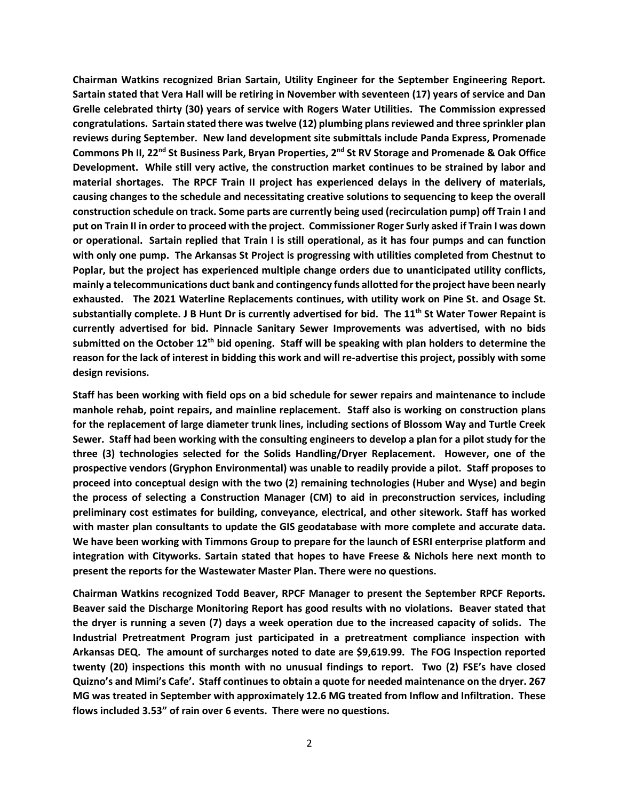**Chairman Watkins recognized Brian Sartain, Utility Engineer for the September Engineering Report. Sartain stated that Vera Hall will be retiring in November with seventeen (17) years of service and Dan Grelle celebrated thirty (30) years of service with Rogers Water Utilities. The Commission expressed congratulations. Sartain stated there was twelve (12) plumbing plans reviewed and three sprinkler plan reviews during September. New land development site submittals include Panda Express, Promenade Commons Ph II, 22nd St Business Park, Bryan Properties, 2nd St RV Storage and Promenade & Oak Office Development. While still very active, the construction market continues to be strained by labor and material shortages. The RPCF Train II project has experienced delays in the delivery of materials, causing changes to the schedule and necessitating creative solutions to sequencing to keep the overall construction schedule on track. Some parts are currently being used (recirculation pump) off Train I and put on Train II in order to proceed with the project. Commissioner Roger Surly asked if Train I was down or operational. Sartain replied that Train I is still operational, as it has four pumps and can function with only one pump. The Arkansas St Project is progressing with utilities completed from Chestnut to Poplar, but the project has experienced multiple change orders due to unanticipated utility conflicts, mainly a telecommunications duct bank and contingency funds allotted for the project have been nearly exhausted. The 2021 Waterline Replacements continues, with utility work on Pine St. and Osage St. substantially complete. J B Hunt Dr is currently advertised for bid. The 11th St Water Tower Repaint is currently advertised for bid. Pinnacle Sanitary Sewer Improvements was advertised, with no bids submitted on the October 12th bid opening. Staff will be speaking with plan holders to determine the reason for the lack of interest in bidding this work and will re-advertise this project, possibly with some design revisions.**

**Staff has been working with field ops on a bid schedule for sewer repairs and maintenance to include manhole rehab, point repairs, and mainline replacement. Staff also is working on construction plans for the replacement of large diameter trunk lines, including sections of Blossom Way and Turtle Creek Sewer. Staff had been working with the consulting engineers to develop a plan for a pilot study for the three (3) technologies selected for the Solids Handling/Dryer Replacement. However, one of the prospective vendors (Gryphon Environmental) was unable to readily provide a pilot. Staff proposes to proceed into conceptual design with the two (2) remaining technologies (Huber and Wyse) and begin the process of selecting a Construction Manager (CM) to aid in preconstruction services, including preliminary cost estimates for building, conveyance, electrical, and other sitework. Staff has worked with master plan consultants to update the GIS geodatabase with more complete and accurate data. We have been working with Timmons Group to prepare for the launch of ESRI enterprise platform and integration with Cityworks. Sartain stated that hopes to have Freese & Nichols here next month to present the reports for the Wastewater Master Plan. There were no questions.**

**Chairman Watkins recognized Todd Beaver, RPCF Manager to present the September RPCF Reports. Beaver said the Discharge Monitoring Report has good results with no violations. Beaver stated that the dryer is running a seven (7) days a week operation due to the increased capacity of solids. The Industrial Pretreatment Program just participated in a pretreatment compliance inspection with Arkansas DEQ. The amount of surcharges noted to date are \$9,619.99. The FOG Inspection reported twenty (20) inspections this month with no unusual findings to report. Two (2) FSE's have closed Quizno's and Mimi's Cafe'. Staff continues to obtain a quote for needed maintenance on the dryer. 267 MG was treated in September with approximately 12.6 MG treated from Inflow and Infiltration. These flows included 3.53" of rain over 6 events. There were no questions.**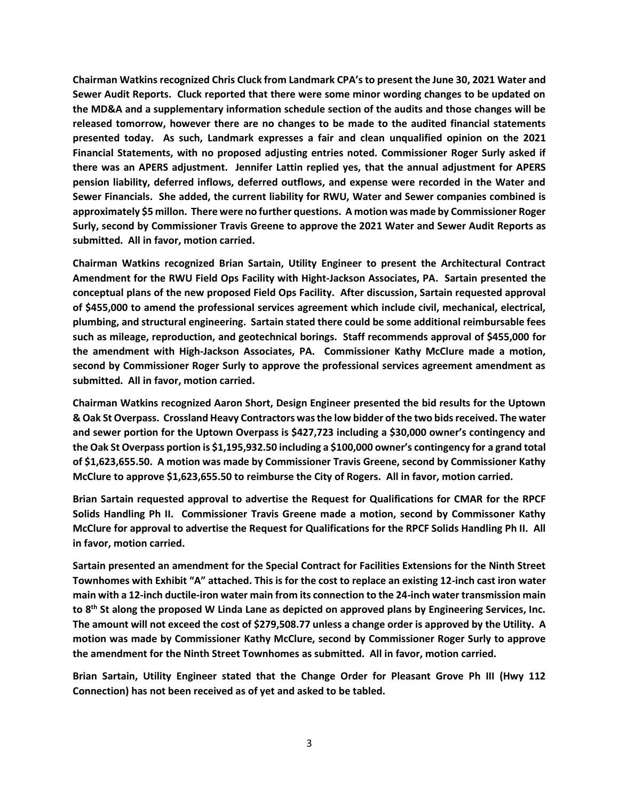**Chairman Watkins recognized Chris Cluck from Landmark CPA's to present the June 30, 2021 Water and Sewer Audit Reports. Cluck reported that there were some minor wording changes to be updated on the MD&A and a supplementary information schedule section of the audits and those changes will be released tomorrow, however there are no changes to be made to the audited financial statements presented today. As such, Landmark expresses a fair and clean unqualified opinion on the 2021 Financial Statements, with no proposed adjusting entries noted. Commissioner Roger Surly asked if there was an APERS adjustment. Jennifer Lattin replied yes, that the annual adjustment for APERS pension liability, deferred inflows, deferred outflows, and expense were recorded in the Water and Sewer Financials. She added, the current liability for RWU, Water and Sewer companies combined is approximately \$5 millon. There were no further questions. A motion was made by Commissioner Roger Surly, second by Commissioner Travis Greene to approve the 2021 Water and Sewer Audit Reports as submitted. All in favor, motion carried.**

**Chairman Watkins recognized Brian Sartain, Utility Engineer to present the Architectural Contract Amendment for the RWU Field Ops Facility with Hight-Jackson Associates, PA. Sartain presented the conceptual plans of the new proposed Field Ops Facility. After discussion, Sartain requested approval of \$455,000 to amend the professional services agreement which include civil, mechanical, electrical, plumbing, and structural engineering. Sartain stated there could be some additional reimbursable fees such as mileage, reproduction, and geotechnical borings. Staff recommends approval of \$455,000 for the amendment with High-Jackson Associates, PA. Commissioner Kathy McClure made a motion, second by Commissioner Roger Surly to approve the professional services agreement amendment as submitted. All in favor, motion carried.**

**Chairman Watkins recognized Aaron Short, Design Engineer presented the bid results for the Uptown & Oak St Overpass. Crossland Heavy Contractors was the low bidder of the two bids received. The water and sewer portion for the Uptown Overpass is \$427,723 including a \$30,000 owner's contingency and the Oak St Overpass portion is \$1,195,932.50 including a \$100,000 owner's contingency for a grand total of \$1,623,655.50. A motion was made by Commissioner Travis Greene, second by Commissioner Kathy McClure to approve \$1,623,655.50 to reimburse the City of Rogers. All in favor, motion carried.**

**Brian Sartain requested approval to advertise the Request for Qualifications for CMAR for the RPCF Solids Handling Ph II. Commissioner Travis Greene made a motion, second by Commissoner Kathy McClure for approval to advertise the Request for Qualifications for the RPCF Solids Handling Ph II. All in favor, motion carried.**

**Sartain presented an amendment for the Special Contract for Facilities Extensions for the Ninth Street Townhomes with Exhibit "A" attached. This is for the cost to replace an existing 12-inch cast iron water main with a 12-inch ductile-iron water main from its connection to the 24-inch water transmission main to 8th St along the proposed W Linda Lane as depicted on approved plans by Engineering Services, Inc. The amount will not exceed the cost of \$279,508.77 unless a change order is approved by the Utility. A motion was made by Commissioner Kathy McClure, second by Commissioner Roger Surly to approve the amendment for the Ninth Street Townhomes as submitted. All in favor, motion carried.**

**Brian Sartain, Utility Engineer stated that the Change Order for Pleasant Grove Ph III (Hwy 112 Connection) has not been received as of yet and asked to be tabled.**